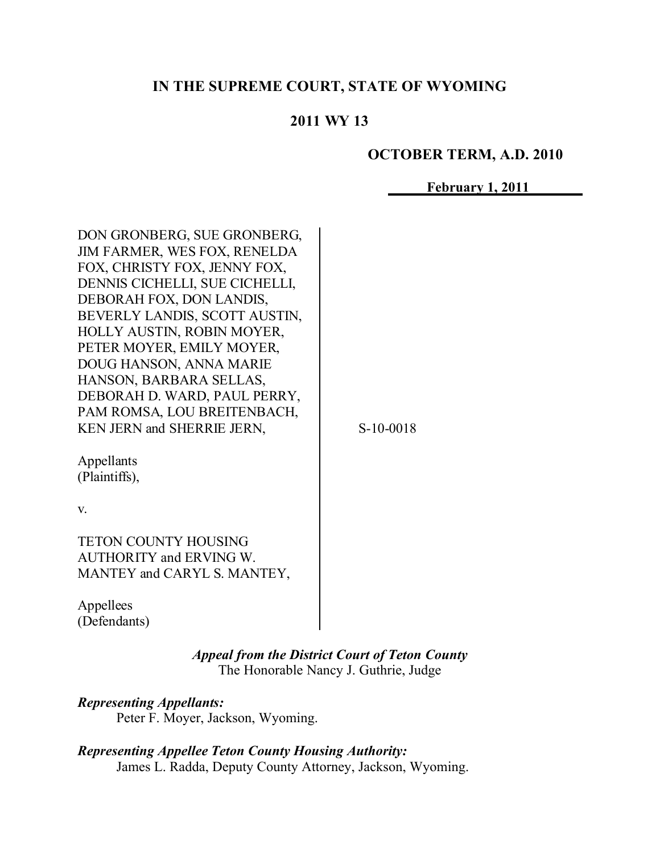# **IN THE SUPREME COURT, STATE OF WYOMING**

# **2011 WY 13**

#### **OCTOBER TERM, A.D. 2010**

#### **February 1, 2011**

DON GRONBERG, SUE GRONBERG, JIM FARMER, WES FOX, RENELDA FOX, CHRISTY FOX, JENNY FOX, DENNIS CICHELLI, SUE CICHELLI, DEBORAH FOX, DON LANDIS, BEVERLY LANDIS, SCOTT AUSTIN, HOLLY AUSTIN, ROBIN MOYER, PETER MOYER, EMILY MOYER, DOUG HANSON, ANNA MARIE HANSON, BARBARA SELLAS, DEBORAH D. WARD, PAUL PERRY, PAM ROMSA, LOU BREITENBACH, KEN JERN and SHERRIE JERN,

S-10-0018

Appellants (Plaintiffs),

v.

TETON COUNTY HOUSING AUTHORITY and ERVING W. MANTEY and CARYL S. MANTEY,

Appellees (Defendants)

> *Appeal from the District Court of Teton County* The Honorable Nancy J. Guthrie, Judge

*Representing Appellants:* Peter F. Moyer, Jackson, Wyoming.

*Representing Appellee Teton County Housing Authority:* James L. Radda, Deputy County Attorney, Jackson, Wyoming.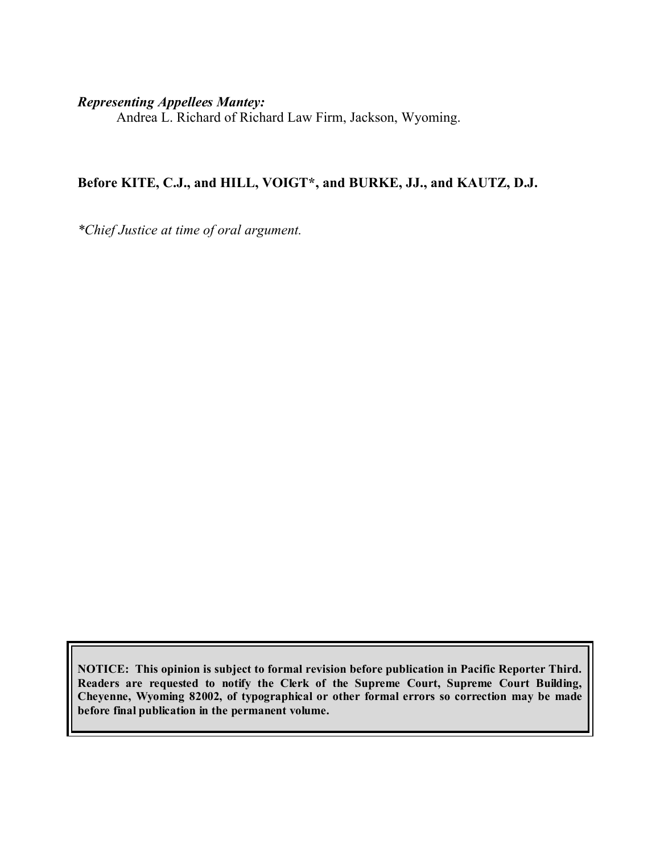*Representing Appellees Mantey:*

Andrea L. Richard of Richard Law Firm, Jackson, Wyoming.

# **Before KITE, C.J., and HILL, VOIGT\*, and BURKE, JJ., and KAUTZ, D.J.**

*\*Chief Justice at time of oral argument.*

**NOTICE: This opinion is subject to formal revision before publication in Pacific Reporter Third. Readers are requested to notify the Clerk of the Supreme Court, Supreme Court Building, Cheyenne, Wyoming 82002, of typographical or other formal errors so correction may be made before final publication in the permanent volume.**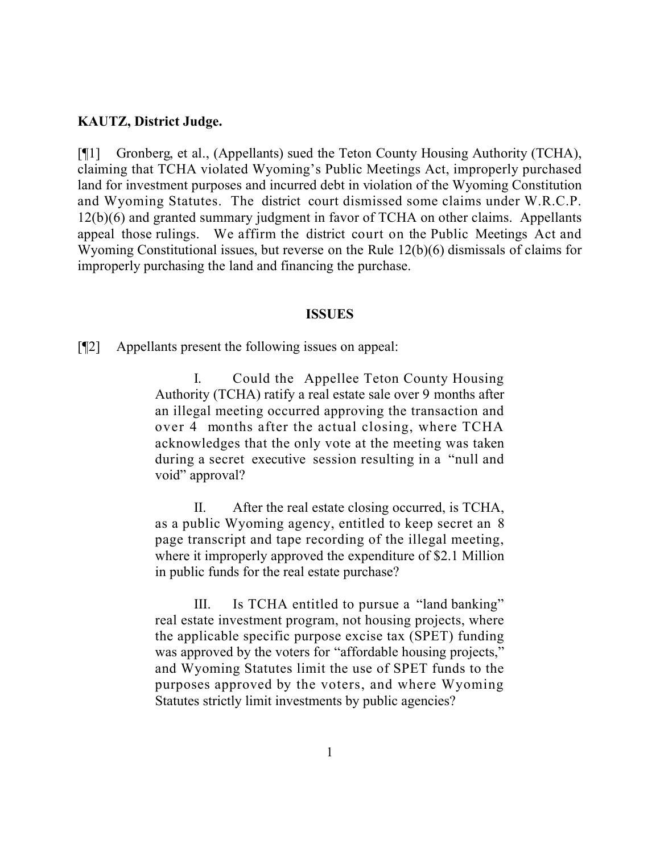#### **KAUTZ, District Judge.**

[¶1] Gronberg, et al., (Appellants) sued the Teton County Housing Authority (TCHA), claiming that TCHA violated Wyoming's Public Meetings Act, improperly purchased land for investment purposes and incurred debt in violation of the Wyoming Constitution and Wyoming Statutes. The district court dismissed some claims under W.R.C.P. 12(b)(6) and granted summary judgment in favor of TCHA on other claims. Appellants appeal those rulings. We affirm the district court on the Public Meetings Act and Wyoming Constitutional issues, but reverse on the Rule 12(b)(6) dismissals of claims for improperly purchasing the land and financing the purchase.

#### **ISSUES**

[¶2] Appellants present the following issues on appeal:

I. Could the Appellee Teton County Housing Authority (TCHA) ratify a real estate sale over 9 months after an illegal meeting occurred approving the transaction and over 4 months after the actual closing, where TCHA acknowledges that the only vote at the meeting was taken during a secret executive session resulting in a "null and void" approval?

II. After the real estate closing occurred, is TCHA, as a public Wyoming agency, entitled to keep secret an 8 page transcript and tape recording of the illegal meeting, where it improperly approved the expenditure of \$2.1 Million in public funds for the real estate purchase?

III. Is TCHA entitled to pursue a "land banking" real estate investment program, not housing projects, where the applicable specific purpose excise tax (SPET) funding was approved by the voters for "affordable housing projects," and Wyoming Statutes limit the use of SPET funds to the purposes approved by the voters, and where Wyoming Statutes strictly limit investments by public agencies?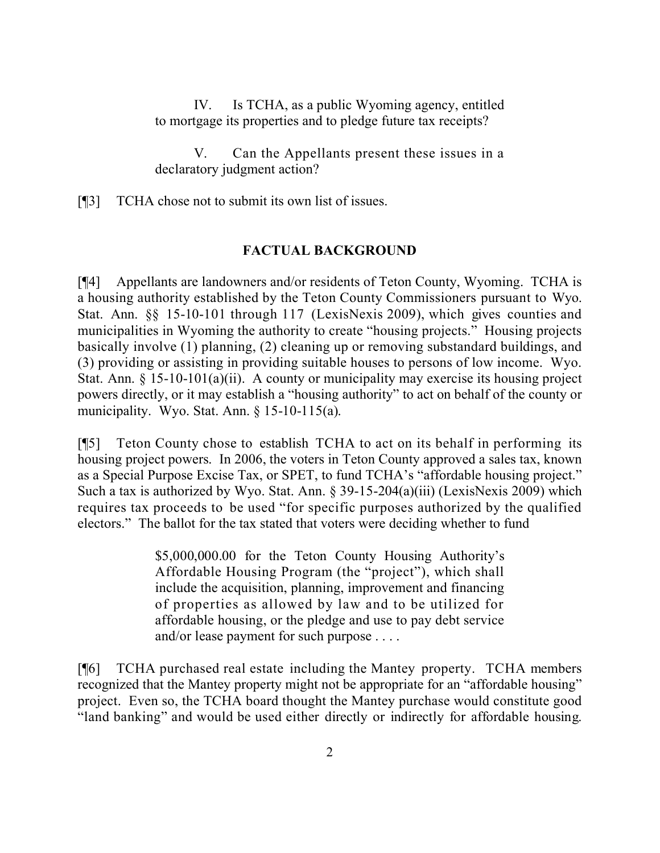IV. Is TCHA, as a public Wyoming agency, entitled to mortgage its properties and to pledge future tax receipts?

V. Can the Appellants present these issues in a declaratory judgment action?

[¶3] TCHA chose not to submit its own list of issues.

#### **FACTUAL BACKGROUND**

[¶4] Appellants are landowners and/or residents of Teton County, Wyoming. TCHA is a housing authority established by the Teton County Commissioners pursuant to Wyo. Stat. Ann. §§ 15-10-101 through 117 (LexisNexis 2009), which gives counties and municipalities in Wyoming the authority to create "housing projects." Housing projects basically involve (1) planning, (2) cleaning up or removing substandard buildings, and (3) providing or assisting in providing suitable houses to persons of low income. Wyo. Stat. Ann.  $\S 15{\text -}10{\text -}101(a)(ii)$ . A county or municipality may exercise its housing project powers directly, or it may establish a "housing authority" to act on behalf of the county or municipality. Wyo. Stat. Ann.  $\S$  15-10-115(a).

[¶5] Teton County chose to establish TCHA to act on its behalf in performing its housing project powers. In 2006, the voters in Teton County approved a sales tax, known as a Special Purpose Excise Tax, or SPET, to fund TCHA's "affordable housing project." Such a tax is authorized by Wyo. Stat. Ann. § 39-15-204(a)(iii) (LexisNexis 2009) which requires tax proceeds to be used "for specific purposes authorized by the qualified electors." The ballot for the tax stated that voters were deciding whether to fund

> \$5,000,000.00 for the Teton County Housing Authority's Affordable Housing Program (the "project"), which shall include the acquisition, planning, improvement and financing of properties as allowed by law and to be utilized for affordable housing, or the pledge and use to pay debt service and/or lease payment for such purpose . . . .

[¶6] TCHA purchased real estate including the Mantey property. TCHA members recognized that the Mantey property might not be appropriate for an "affordable housing" project. Even so, the TCHA board thought the Mantey purchase would constitute good "land banking" and would be used either directly or indirectly for affordable housing.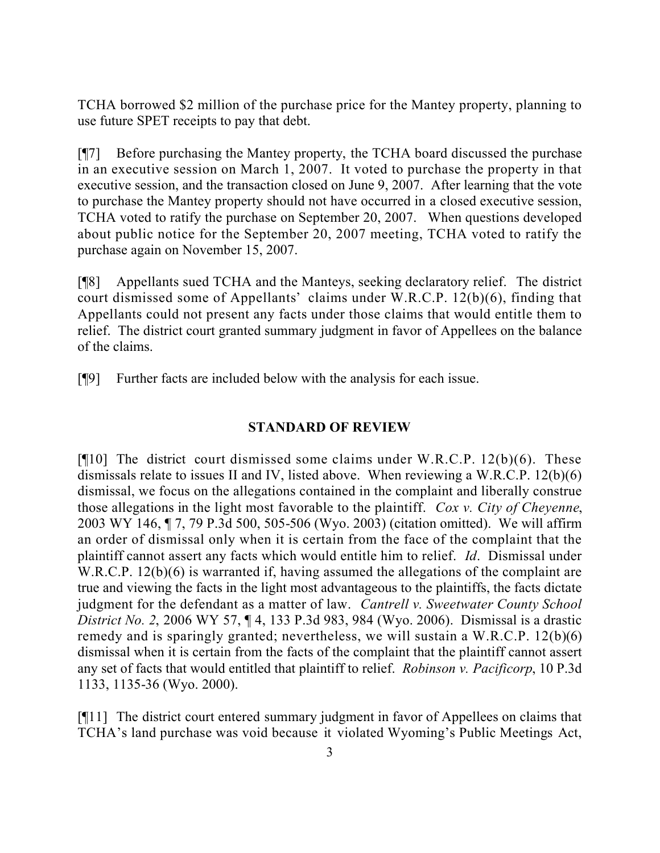TCHA borrowed \$2 million of the purchase price for the Mantey property, planning to use future SPET receipts to pay that debt.

[¶7] Before purchasing the Mantey property, the TCHA board discussed the purchase in an executive session on March 1, 2007. It voted to purchase the property in that executive session, and the transaction closed on June 9, 2007. After learning that the vote to purchase the Mantey property should not have occurred in a closed executive session, TCHA voted to ratify the purchase on September 20, 2007. When questions developed about public notice for the September 20, 2007 meeting, TCHA voted to ratify the purchase again on November 15, 2007.

[¶8] Appellants sued TCHA and the Manteys, seeking declaratory relief. The district court dismissed some of Appellants' claims under W.R.C.P. 12(b)(6), finding that Appellants could not present any facts under those claims that would entitle them to relief. The district court granted summary judgment in favor of Appellees on the balance of the claims.

[¶9] Further facts are included below with the analysis for each issue.

### **STANDARD OF REVIEW**

[ $[10]$ ] The district court dismissed some claims under W.R.C.P. 12(b)(6). These dismissals relate to issues II and IV, listed above. When reviewing a W.R.C.P. 12(b)(6) dismissal, we focus on the allegations contained in the complaint and liberally construe those allegations in the light most favorable to the plaintiff. *Cox v. City of Cheyenne*, 2003 WY 146, ¶ 7, 79 P.3d 500, 505-506 (Wyo. 2003) (citation omitted). We will affirm an order of dismissal only when it is certain from the face of the complaint that the plaintiff cannot assert any facts which would entitle him to relief. *Id*. Dismissal under W.R.C.P. 12(b)(6) is warranted if, having assumed the allegations of the complaint are true and viewing the facts in the light most advantageous to the plaintiffs, the facts dictate judgment for the defendant as a matter of law. *Cantrell v. Sweetwater County School District No. 2*, 2006 WY 57, ¶ 4, 133 P.3d 983, 984 (Wyo. 2006). Dismissal is a drastic remedy and is sparingly granted; nevertheless, we will sustain a W.R.C.P. 12(b)(6) dismissal when it is certain from the facts of the complaint that the plaintiff cannot assert any set of facts that would entitled that plaintiff to relief. *Robinson v. Pacificorp*, 10 P.3d 1133, 1135-36 (Wyo. 2000).

[¶11] The district court entered summary judgment in favor of Appellees on claims that TCHA's land purchase was void because it violated Wyoming's Public Meetings Act,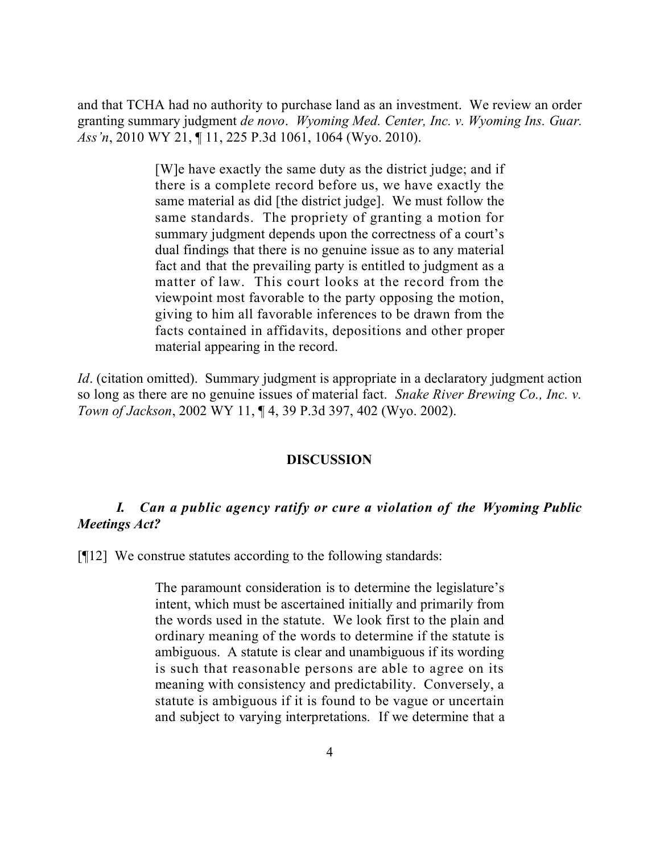and that TCHA had no authority to purchase land as an investment. We review an order granting summary judgment *de novo*. *Wyoming Med. Center, Inc. v. Wyoming Ins. Guar. Ass'n*, 2010 WY 21, ¶ 11, 225 P.3d 1061, 1064 (Wyo. 2010).

> [W]e have exactly the same duty as the district judge; and if there is a complete record before us, we have exactly the same material as did [the district judge]. We must follow the same standards. The propriety of granting a motion for summary judgment depends upon the correctness of a court's dual findings that there is no genuine issue as to any material fact and that the prevailing party is entitled to judgment as a matter of law. This court looks at the record from the viewpoint most favorable to the party opposing the motion, giving to him all favorable inferences to be drawn from the facts contained in affidavits, depositions and other proper material appearing in the record.

*Id.* (citation omitted). Summary judgment is appropriate in a declaratory judgment action so long as there are no genuine issues of material fact. *Snake River Brewing Co., Inc. v. Town of Jackson*, 2002 WY 11, ¶ 4, 39 P.3d 397, 402 (Wyo. 2002).

#### **DISCUSSION**

# *I. Can a public agency ratify or cure a violation of the Wyoming Public Meetings Act?*

[¶12] We construe statutes according to the following standards:

The paramount consideration is to determine the legislature's intent, which must be ascertained initially and primarily from the words used in the statute. We look first to the plain and ordinary meaning of the words to determine if the statute is ambiguous. A statute is clear and unambiguous if its wording is such that reasonable persons are able to agree on its meaning with consistency and predictability. Conversely, a statute is ambiguous if it is found to be vague or uncertain and subject to varying interpretations. If we determine that a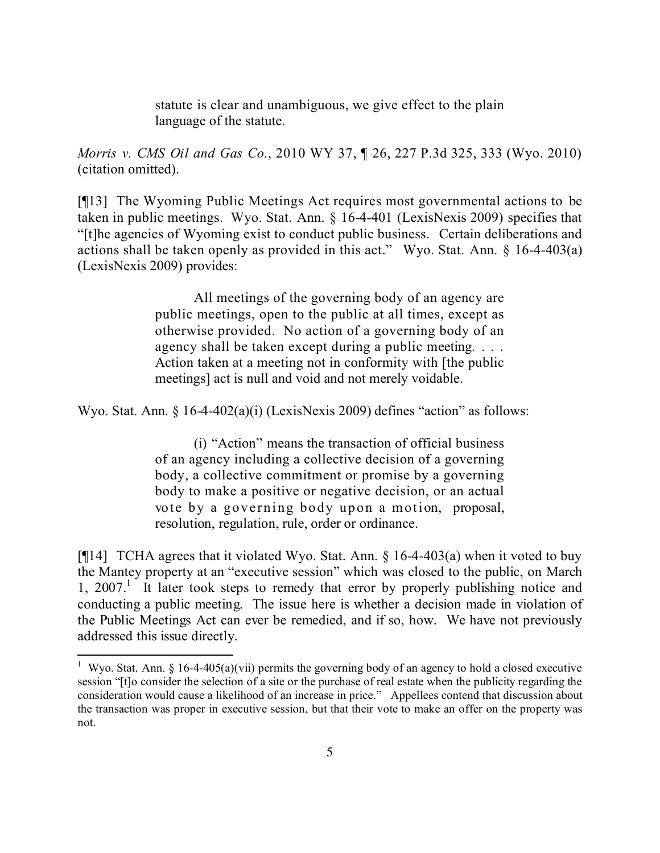statute is clear and unambiguous, we give effect to the plain language of the statute.

*Morris v. CMS Oil and Gas Co.*, 2010 WY 37, ¶ 26, 227 P.3d 325, 333 (Wyo. 2010) (citation omitted).

[¶13] The Wyoming Public Meetings Act requires most governmental actions to be taken in public meetings. Wyo. Stat. Ann. § 16-4-401 (LexisNexis 2009) specifies that "[t]he agencies of Wyoming exist to conduct public business. Certain deliberations and actions shall be taken openly as provided in this act." Wyo. Stat. Ann. § 16-4-403(a) (LexisNexis 2009) provides:

> All meetings of the governing body of an agency are public meetings, open to the public at all times, except as otherwise provided. No action of a governing body of an agency shall be taken except during a public meeting. . . . Action taken at a meeting not in conformity with [the public meetings] act is null and void and not merely voidable.

Wyo. Stat. Ann. § 16-4-402(a)(i) (LexisNexis 2009) defines "action" as follows:

(i) "Action" means the transaction of official business of an agency including a collective decision of a governing body, a collective commitment or promise by a governing body to make a positive or negative decision, or an actual vote by a governing body upon a motion, proposal, resolution, regulation, rule, order or ordinance.

[ $[14]$ ] TCHA agrees that it violated Wyo. Stat. Ann. § 16-4-403(a) when it voted to buy the Mantey property at an "executive session" which was closed to the public, on March 1, 2007.<sup>1</sup> It later took steps to remedy that error by properly publishing notice and conducting a public meeting. The issue here is whether a decision made in violation of the Public Meetings Act can ever be remedied, and if so, how. We have not previously addressed this issue directly.

 $\overline{a}$ 

<sup>&</sup>lt;sup>1</sup> Wyo. Stat. Ann. § 16-4-405(a)(vii) permits the governing body of an agency to hold a closed executive session "[t]o consider the selection of a site or the purchase of real estate when the publicity regarding the consideration would cause a likelihood of an increase in price." Appellees contend that discussion about the transaction was proper in executive session, but that their vote to make an offer on the property was not.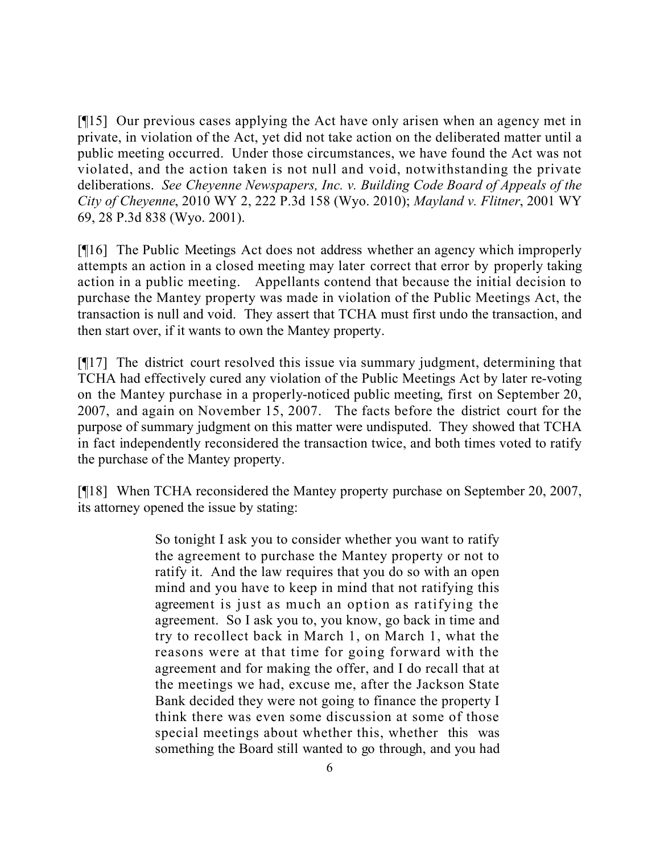[¶15] Our previous cases applying the Act have only arisen when an agency met in private, in violation of the Act, yet did not take action on the deliberated matter until a public meeting occurred. Under those circumstances, we have found the Act was not violated, and the action taken is not null and void, notwithstanding the private deliberations. *See Cheyenne Newspapers, Inc. v. Building Code Board of Appeals of the City of Cheyenne*, 2010 WY 2, 222 P.3d 158 (Wyo. 2010); *Mayland v. Flitner*, 2001 WY 69, 28 P.3d 838 (Wyo. 2001).

[¶16] The Public Meetings Act does not address whether an agency which improperly attempts an action in a closed meeting may later correct that error by properly taking action in a public meeting. Appellants contend that because the initial decision to purchase the Mantey property was made in violation of the Public Meetings Act, the transaction is null and void. They assert that TCHA must first undo the transaction, and then start over, if it wants to own the Mantey property.

[¶17] The district court resolved this issue via summary judgment, determining that TCHA had effectively cured any violation of the Public Meetings Act by later re-voting on the Mantey purchase in a properly-noticed public meeting, first on September 20, 2007, and again on November 15, 2007. The facts before the district court for the purpose of summary judgment on this matter were undisputed. They showed that TCHA in fact independently reconsidered the transaction twice, and both times voted to ratify the purchase of the Mantey property.

[¶18] When TCHA reconsidered the Mantey property purchase on September 20, 2007, its attorney opened the issue by stating:

> So tonight I ask you to consider whether you want to ratify the agreement to purchase the Mantey property or not to ratify it. And the law requires that you do so with an open mind and you have to keep in mind that not ratifying this agreement is just as much an option as ratifying the agreement. So I ask you to, you know, go back in time and try to recollect back in March 1, on March 1, what the reasons were at that time for going forward with the agreement and for making the offer, and I do recall that at the meetings we had, excuse me, after the Jackson State Bank decided they were not going to finance the property I think there was even some discussion at some of those special meetings about whether this, whether this was something the Board still wanted to go through, and you had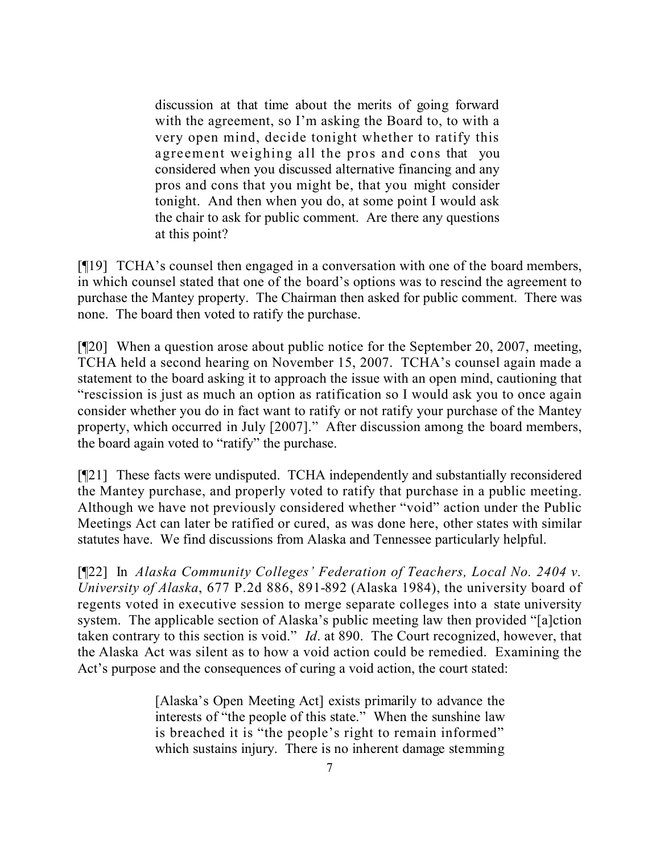discussion at that time about the merits of going forward with the agreement, so I'm asking the Board to, to with a very open mind, decide tonight whether to ratify this agreement weighing all the pros and cons that you considered when you discussed alternative financing and any pros and cons that you might be, that you might consider tonight. And then when you do, at some point I would ask the chair to ask for public comment. Are there any questions at this point?

[¶19] TCHA's counsel then engaged in a conversation with one of the board members, in which counsel stated that one of the board's options was to rescind the agreement to purchase the Mantey property. The Chairman then asked for public comment. There was none. The board then voted to ratify the purchase.

[¶20] When a question arose about public notice for the September 20, 2007, meeting, TCHA held a second hearing on November 15, 2007. TCHA's counsel again made a statement to the board asking it to approach the issue with an open mind, cautioning that "rescission is just as much an option as ratification so I would ask you to once again consider whether you do in fact want to ratify or not ratify your purchase of the Mantey property, which occurred in July [2007]." After discussion among the board members, the board again voted to "ratify" the purchase.

[¶21] These facts were undisputed. TCHA independently and substantially reconsidered the Mantey purchase, and properly voted to ratify that purchase in a public meeting. Although we have not previously considered whether "void" action under the Public Meetings Act can later be ratified or cured, as was done here, other states with similar statutes have. We find discussions from Alaska and Tennessee particularly helpful.

[¶22] In *Alaska Community Colleges' Federation of Teachers, Local No. 2404 v. University of Alaska*, 677 P.2d 886, 891-892 (Alaska 1984), the university board of regents voted in executive session to merge separate colleges into a state university system. The applicable section of Alaska's public meeting law then provided "[a]ction taken contrary to this section is void." *Id*. at 890. The Court recognized, however, that the Alaska Act was silent as to how a void action could be remedied. Examining the Act's purpose and the consequences of curing a void action, the court stated:

> [Alaska's Open Meeting Act] exists primarily to advance the interests of "the people of this state." When the sunshine law is breached it is "the people's right to remain informed" which sustains injury. There is no inherent damage stemming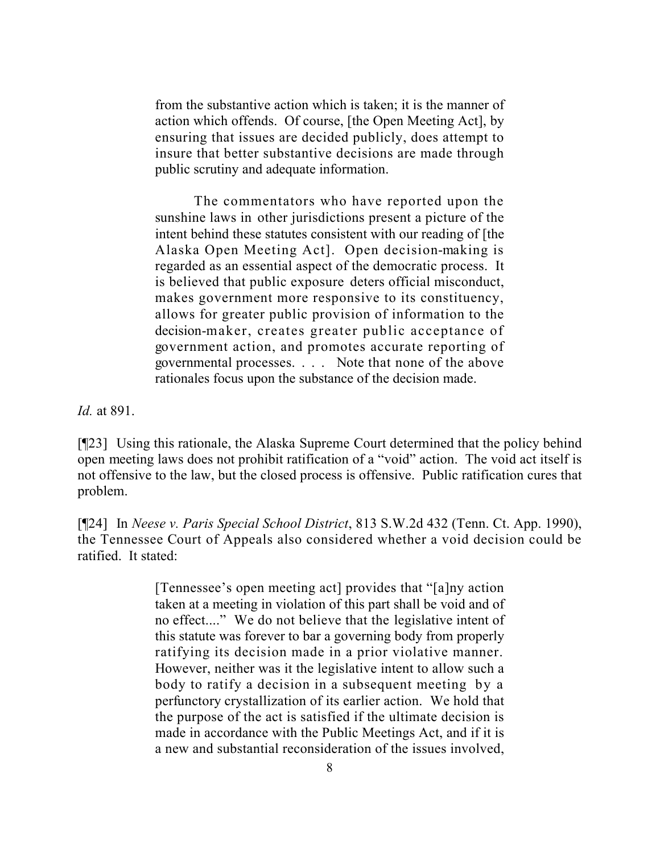from the substantive action which is taken; it is the manner of action which offends. Of course, [the Open Meeting Act], by ensuring that issues are decided publicly, does attempt to insure that better substantive decisions are made through public scrutiny and adequate information.

The commentators who have reported upon the sunshine laws in other jurisdictions present a picture of the intent behind these statutes consistent with our reading of [the Alaska Open Meeting Act]. Open decision-making is regarded as an essential aspect of the democratic process. It is believed that public exposure deters official misconduct, makes government more responsive to its constituency, allows for greater public provision of information to the decision-maker, creates greater public acceptance of government action, and promotes accurate reporting of governmental processes. . . . Note that none of the above rationales focus upon the substance of the decision made.

*Id.* at 891.

[¶23] Using this rationale, the Alaska Supreme Court determined that the policy behind open meeting laws does not prohibit ratification of a "void" action. The void act itself is not offensive to the law, but the closed process is offensive. Public ratification cures that problem.

[¶24] In *Neese v. Paris Special School District*, 813 S.W.2d 432 (Tenn. Ct. App. 1990), the Tennessee Court of Appeals also considered whether a void decision could be ratified. It stated:

> [Tennessee's open meeting act] provides that "[a]ny action taken at a meeting in violation of this part shall be void and of no effect...." We do not believe that the legislative intent of this statute was forever to bar a governing body from properly ratifying its decision made in a prior violative manner. However, neither was it the legislative intent to allow such a body to ratify a decision in a subsequent meeting by a perfunctory crystallization of its earlier action. We hold that the purpose of the act is satisfied if the ultimate decision is made in accordance with the Public Meetings Act, and if it is a new and substantial reconsideration of the issues involved,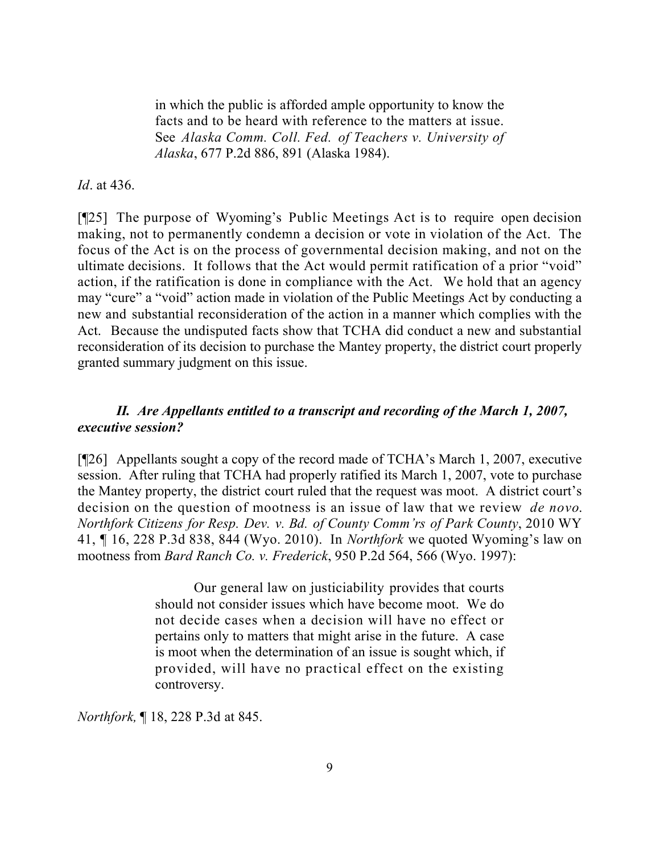in which the public is afforded ample opportunity to know the facts and to be heard with reference to the matters at issue. See *Alaska Comm. Coll. Fed. of Teachers v. University of Alaska*, 677 P.2d 886, 891 (Alaska 1984).

*Id*. at 436.

[¶25] The purpose of Wyoming's Public Meetings Act is to require open decision making, not to permanently condemn a decision or vote in violation of the Act. The focus of the Act is on the process of governmental decision making, and not on the ultimate decisions. It follows that the Act would permit ratification of a prior "void" action, if the ratification is done in compliance with the Act. We hold that an agency may "cure" a "void" action made in violation of the Public Meetings Act by conducting a new and substantial reconsideration of the action in a manner which complies with the Act. Because the undisputed facts show that TCHA did conduct a new and substantial reconsideration of its decision to purchase the Mantey property, the district court properly granted summary judgment on this issue.

# *II. Are Appellants entitled to a transcript and recording of the March 1, 2007, executive session?*

[¶26] Appellants sought a copy of the record made of TCHA's March 1, 2007, executive session. After ruling that TCHA had properly ratified its March 1, 2007, vote to purchase the Mantey property, the district court ruled that the request was moot. A district court's decision on the question of mootness is an issue of law that we review *de novo*. *Northfork Citizens for Resp. Dev. v. Bd. of County Comm'rs of Park County*, 2010 WY 41, ¶ 16, 228 P.3d 838, 844 (Wyo. 2010). In *Northfork* we quoted Wyoming's law on mootness from *Bard Ranch Co. v. Frederick*, 950 P.2d 564, 566 (Wyo. 1997):

> Our general law on justiciability provides that courts should not consider issues which have become moot. We do not decide cases when a decision will have no effect or pertains only to matters that might arise in the future. A case is moot when the determination of an issue is sought which, if provided, will have no practical effect on the existing controversy.

*Northfork,* ¶ 18, 228 P.3d at 845.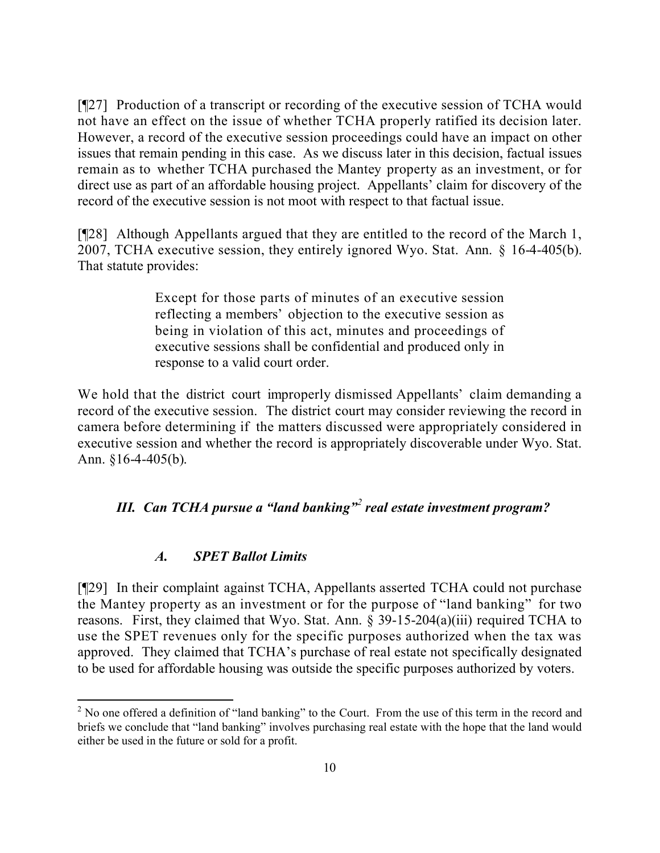[¶27] Production of a transcript or recording of the executive session of TCHA would not have an effect on the issue of whether TCHA properly ratified its decision later. However, a record of the executive session proceedings could have an impact on other issues that remain pending in this case. As we discuss later in this decision, factual issues remain as to whether TCHA purchased the Mantey property as an investment, or for direct use as part of an affordable housing project. Appellants' claim for discovery of the record of the executive session is not moot with respect to that factual issue.

[¶28] Although Appellants argued that they are entitled to the record of the March 1, 2007, TCHA executive session, they entirely ignored Wyo. Stat. Ann. § 16-4-405(b). That statute provides:

> Except for those parts of minutes of an executive session reflecting a members' objection to the executive session as being in violation of this act, minutes and proceedings of executive sessions shall be confidential and produced only in response to a valid court order.

We hold that the district court improperly dismissed Appellants' claim demanding a record of the executive session. The district court may consider reviewing the record in camera before determining if the matters discussed were appropriately considered in executive session and whether the record is appropriately discoverable under Wyo. Stat. Ann. §16-4-405(b).

# *III. Can TCHA pursue a "land banking"<sup>2</sup> real estate investment program?*

### *A. SPET Ballot Limits*

[¶29] In their complaint against TCHA, Appellants asserted TCHA could not purchase the Mantey property as an investment or for the purpose of "land banking" for two reasons. First, they claimed that Wyo. Stat. Ann. § 39-15-204(a)(iii) required TCHA to use the SPET revenues only for the specific purposes authorized when the tax was approved. They claimed that TCHA's purchase of real estate not specifically designated to be used for affordable housing was outside the specific purposes authorized by voters.

<sup>&</sup>lt;sup>2</sup> No one offered a definition of "land banking" to the Court. From the use of this term in the record and briefs we conclude that "land banking" involves purchasing real estate with the hope that the land would either be used in the future or sold for a profit.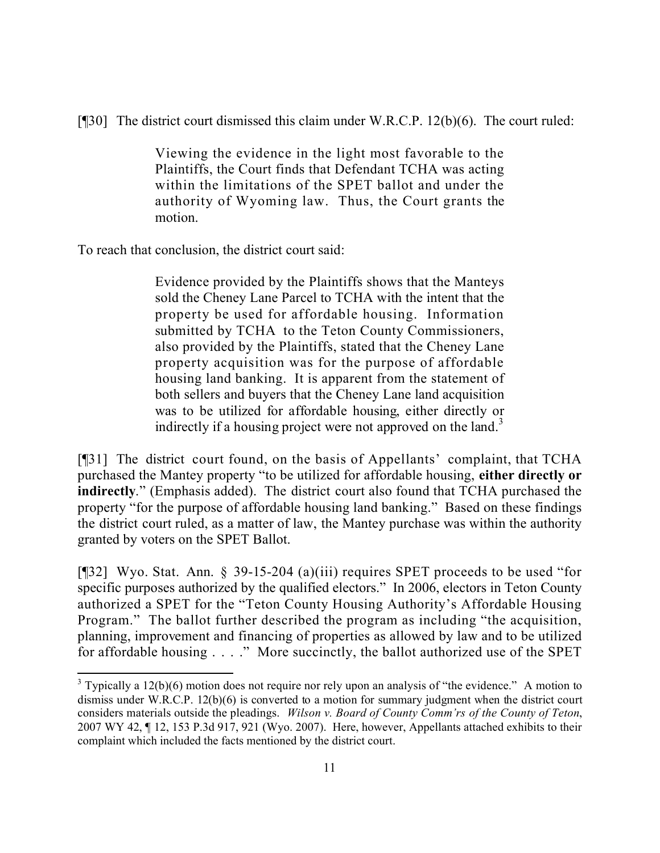[¶30] The district court dismissed this claim under W.R.C.P. 12(b)(6). The court ruled:

Viewing the evidence in the light most favorable to the Plaintiffs, the Court finds that Defendant TCHA was acting within the limitations of the SPET ballot and under the authority of Wyoming law. Thus, the Court grants the motion.

To reach that conclusion, the district court said:

 $\overline{a}$ 

Evidence provided by the Plaintiffs shows that the Manteys sold the Cheney Lane Parcel to TCHA with the intent that the property be used for affordable housing. Information submitted by TCHA to the Teton County Commissioners, also provided by the Plaintiffs, stated that the Cheney Lane property acquisition was for the purpose of affordable housing land banking. It is apparent from the statement of both sellers and buyers that the Cheney Lane land acquisition was to be utilized for affordable housing, either directly or indirectly if a housing project were not approved on the land.<sup>3</sup>

[¶31] The district court found, on the basis of Appellants' complaint, that TCHA purchased the Mantey property "to be utilized for affordable housing, **either directly or indirectly**." (Emphasis added). The district court also found that TCHA purchased the property "for the purpose of affordable housing land banking." Based on these findings the district court ruled, as a matter of law, the Mantey purchase was within the authority granted by voters on the SPET Ballot.

[¶32] Wyo. Stat. Ann. § 39-15-204 (a)(iii) requires SPET proceeds to be used "for specific purposes authorized by the qualified electors." In 2006, electors in Teton County authorized a SPET for the "Teton County Housing Authority's Affordable Housing Program." The ballot further described the program as including "the acquisition, planning, improvement and financing of properties as allowed by law and to be utilized for affordable housing . . . ." More succinctly, the ballot authorized use of the SPET

 $3$  Typically a 12(b)(6) motion does not require nor rely upon an analysis of "the evidence." A motion to dismiss under W.R.C.P. 12(b)(6) is converted to a motion for summary judgment when the district court considers materials outside the pleadings. *Wilson v. Board of County Comm'rs of the County of Teton*, 2007 WY 42, ¶ 12, 153 P.3d 917, 921 (Wyo. 2007). Here, however, Appellants attached exhibits to their complaint which included the facts mentioned by the district court.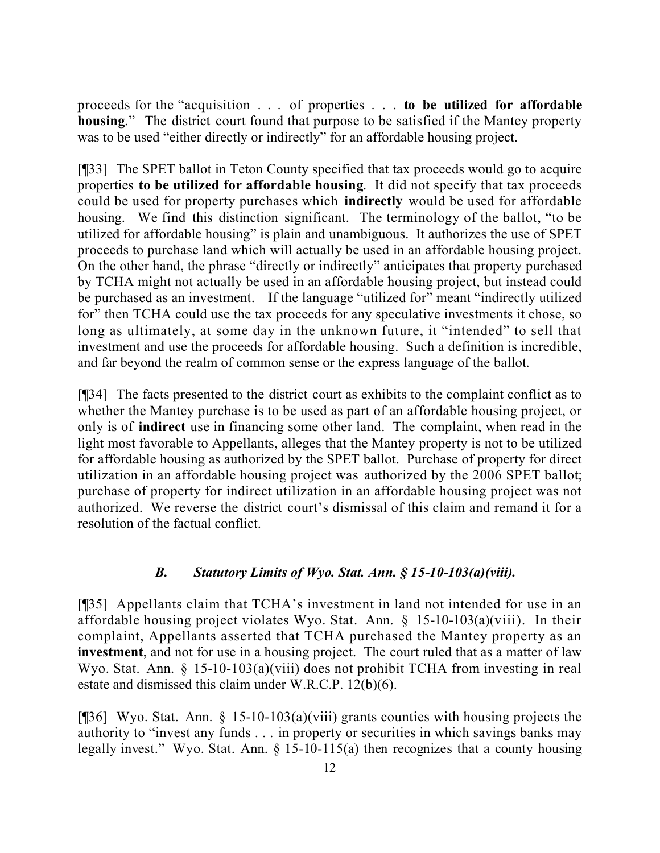proceeds for the "acquisition . . . of properties . . . **to be utilized for affordable housing**." The district court found that purpose to be satisfied if the Mantey property was to be used "either directly or indirectly" for an affordable housing project.

[¶33] The SPET ballot in Teton County specified that tax proceeds would go to acquire properties **to be utilized for affordable housing**. It did not specify that tax proceeds could be used for property purchases which **indirectly** would be used for affordable housing. We find this distinction significant. The terminology of the ballot, "to be utilized for affordable housing" is plain and unambiguous. It authorizes the use of SPET proceeds to purchase land which will actually be used in an affordable housing project. On the other hand, the phrase "directly or indirectly" anticipates that property purchased by TCHA might not actually be used in an affordable housing project, but instead could be purchased as an investment. If the language "utilized for" meant "indirectly utilized for" then TCHA could use the tax proceeds for any speculative investments it chose, so long as ultimately, at some day in the unknown future, it "intended" to sell that investment and use the proceeds for affordable housing. Such a definition is incredible, and far beyond the realm of common sense or the express language of the ballot.

[¶34] The facts presented to the district court as exhibits to the complaint conflict as to whether the Mantey purchase is to be used as part of an affordable housing project, or only is of **indirect** use in financing some other land. The complaint, when read in the light most favorable to Appellants, alleges that the Mantey property is not to be utilized for affordable housing as authorized by the SPET ballot. Purchase of property for direct utilization in an affordable housing project was authorized by the 2006 SPET ballot; purchase of property for indirect utilization in an affordable housing project was not authorized. We reverse the district court's dismissal of this claim and remand it for a resolution of the factual conflict.

# *B. Statutory Limits of Wyo. Stat. Ann. § 15-10-103(a)(viii).*

[¶35] Appellants claim that TCHA's investment in land not intended for use in an affordable housing project violates Wyo. Stat. Ann. § 15-10-103(a)(viii). In their complaint, Appellants asserted that TCHA purchased the Mantey property as an **investment**, and not for use in a housing project. The court ruled that as a matter of law Wyo. Stat. Ann. § 15-10-103(a)(viii) does not prohibit TCHA from investing in real estate and dismissed this claim under W.R.C.P. 12(b)(6).

[ $[$ ]36] Wyo. Stat. Ann. § 15-10-103(a)(viii) grants counties with housing projects the authority to "invest any funds . . . in property or securities in which savings banks may legally invest." Wyo. Stat. Ann. § 15-10-115(a) then recognizes that a county housing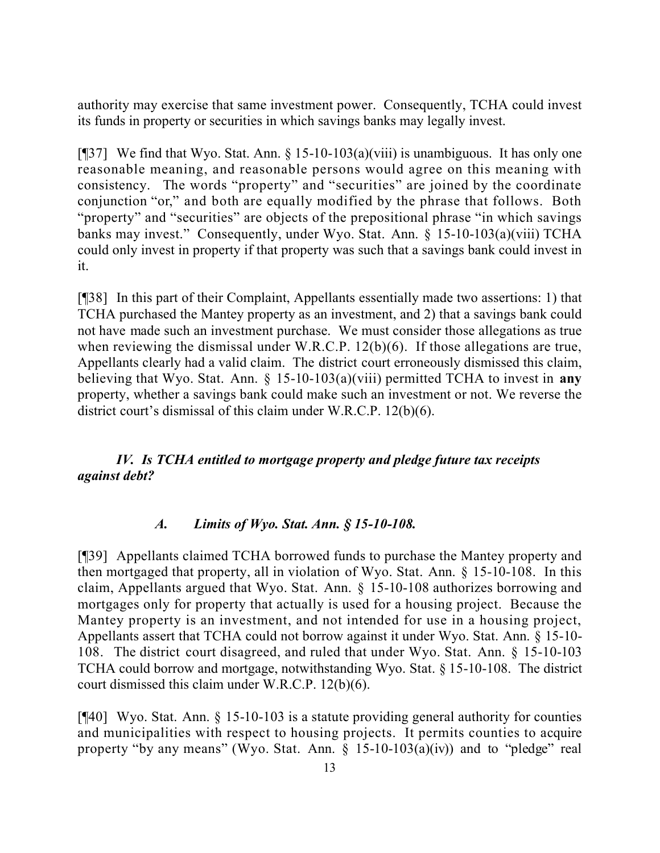authority may exercise that same investment power. Consequently, TCHA could invest its funds in property or securities in which savings banks may legally invest.

[ $[$ ] We find that Wyo. Stat. Ann. § 15-10-103(a)(viii) is unambiguous. It has only one reasonable meaning, and reasonable persons would agree on this meaning with consistency. The words "property" and "securities" are joined by the coordinate conjunction "or," and both are equally modified by the phrase that follows. Both "property" and "securities" are objects of the prepositional phrase "in which savings banks may invest." Consequently, under Wyo. Stat. Ann. § 15-10-103(a)(viii) TCHA could only invest in property if that property was such that a savings bank could invest in it.

[¶38] In this part of their Complaint, Appellants essentially made two assertions: 1) that TCHA purchased the Mantey property as an investment, and 2) that a savings bank could not have made such an investment purchase. We must consider those allegations as true when reviewing the dismissal under W.R.C.P. 12(b)(6). If those allegations are true, Appellants clearly had a valid claim. The district court erroneously dismissed this claim, believing that Wyo. Stat. Ann. § 15-10-103(a)(viii) permitted TCHA to invest in **any** property, whether a savings bank could make such an investment or not. We reverse the district court's dismissal of this claim under W.R.C.P. 12(b)(6).

# *IV. Is TCHA entitled to mortgage property and pledge future tax receipts against debt?*

### *A. Limits of Wyo. Stat. Ann. § 15-10-108.*

[¶39] Appellants claimed TCHA borrowed funds to purchase the Mantey property and then mortgaged that property, all in violation of Wyo. Stat. Ann. § 15-10-108. In this claim, Appellants argued that Wyo. Stat. Ann. § 15-10-108 authorizes borrowing and mortgages only for property that actually is used for a housing project. Because the Mantey property is an investment, and not intended for use in a housing project, Appellants assert that TCHA could not borrow against it under Wyo. Stat. Ann. § 15-10- 108. The district court disagreed, and ruled that under Wyo. Stat. Ann. § 15-10-103 TCHA could borrow and mortgage, notwithstanding Wyo. Stat. § 15-10-108. The district court dismissed this claim under W.R.C.P. 12(b)(6).

[¶40] Wyo. Stat. Ann. § 15-10-103 is a statute providing general authority for counties and municipalities with respect to housing projects. It permits counties to acquire property "by any means" (Wyo. Stat. Ann.  $\S$  15-10-103(a)(iv)) and to "pledge" real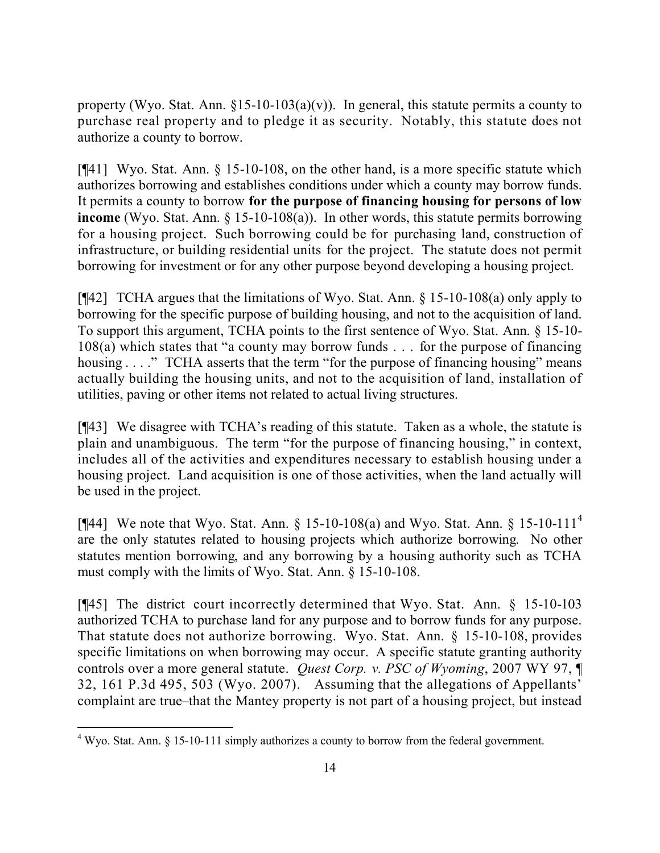property (Wyo. Stat. Ann.  $\S 15{\text -}10{\text -}103(a)(v)$ ). In general, this statute permits a county to purchase real property and to pledge it as security. Notably, this statute does not authorize a county to borrow.

[¶41] Wyo. Stat. Ann. § 15-10-108, on the other hand, is a more specific statute which authorizes borrowing and establishes conditions under which a county may borrow funds. It permits a county to borrow **for the purpose of financing housing for persons of low income** (Wyo. Stat. Ann. § 15-10-108(a)). In other words, this statute permits borrowing for a housing project. Such borrowing could be for purchasing land, construction of infrastructure, or building residential units for the project. The statute does not permit borrowing for investment or for any other purpose beyond developing a housing project.

[¶42] TCHA argues that the limitations of Wyo. Stat. Ann. § 15-10-108(a) only apply to borrowing for the specific purpose of building housing, and not to the acquisition of land. To support this argument, TCHA points to the first sentence of Wyo. Stat. Ann. § 15-10- 108(a) which states that "a county may borrow funds . . . for the purpose of financing housing . . . ." TCHA asserts that the term "for the purpose of financing housing" means actually building the housing units, and not to the acquisition of land, installation of utilities, paving or other items not related to actual living structures.

[¶43] We disagree with TCHA's reading of this statute. Taken as a whole, the statute is plain and unambiguous. The term "for the purpose of financing housing," in context, includes all of the activities and expenditures necessary to establish housing under a housing project. Land acquisition is one of those activities, when the land actually will be used in the project.

[ $[44]$ ] We note that Wyo. Stat. Ann. § 15-10-108(a) and Wyo. Stat. Ann. § 15-10-111<sup>4</sup> are the only statutes related to housing projects which authorize borrowing. No other statutes mention borrowing, and any borrowing by a housing authority such as TCHA must comply with the limits of Wyo. Stat. Ann. § 15-10-108.

[¶45] The district court incorrectly determined that Wyo. Stat. Ann. § 15-10-103 authorized TCHA to purchase land for any purpose and to borrow funds for any purpose. That statute does not authorize borrowing. Wyo. Stat. Ann. § 15-10-108, provides specific limitations on when borrowing may occur. A specific statute granting authority controls over a more general statute. *Quest Corp. v. PSC of Wyoming*, 2007 WY 97, ¶ 32, 161 P.3d 495, 503 (Wyo. 2007). Assuming that the allegations of Appellants' complaint are true–that the Mantey property is not part of a housing project, but instead

 $\overline{a}$ 

<sup>&</sup>lt;sup>4</sup> Wyo. Stat. Ann. § 15-10-111 simply authorizes a county to borrow from the federal government.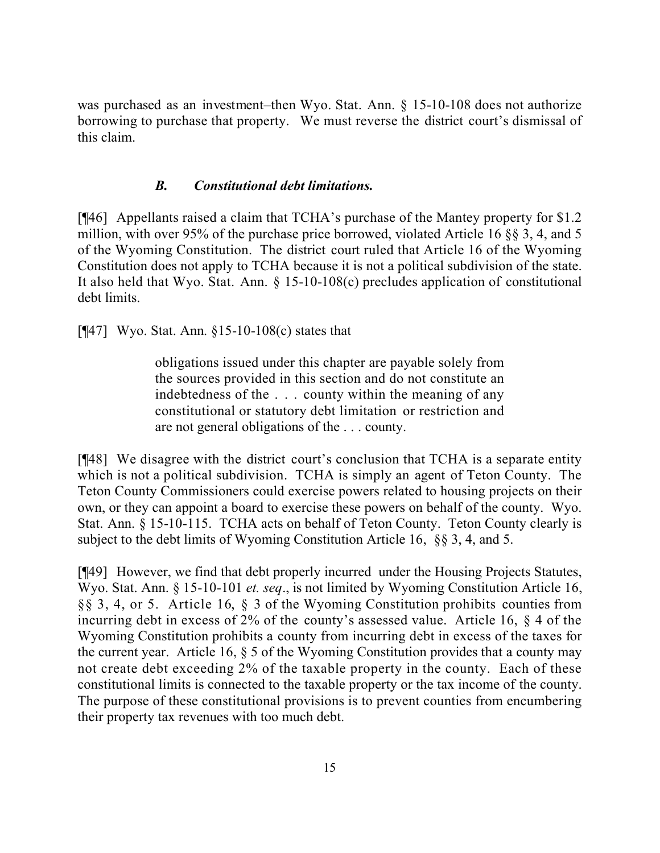was purchased as an investment–then Wyo. Stat. Ann. § 15-10-108 does not authorize borrowing to purchase that property. We must reverse the district court's dismissal of this claim.

# *B. Constitutional debt limitations.*

[¶46] Appellants raised a claim that TCHA's purchase of the Mantey property for \$1.2 million, with over 95% of the purchase price borrowed, violated Article 16 §§ 3, 4, and 5 of the Wyoming Constitution. The district court ruled that Article 16 of the Wyoming Constitution does not apply to TCHA because it is not a political subdivision of the state. It also held that Wyo. Stat. Ann. § 15-10-108(c) precludes application of constitutional debt limits.

[¶47] Wyo. Stat. Ann. §15-10-108(c) states that

obligations issued under this chapter are payable solely from the sources provided in this section and do not constitute an indebtedness of the . . . county within the meaning of any constitutional or statutory debt limitation or restriction and are not general obligations of the . . . county.

[¶48] We disagree with the district court's conclusion that TCHA is a separate entity which is not a political subdivision. TCHA is simply an agent of Teton County. The Teton County Commissioners could exercise powers related to housing projects on their own, or they can appoint a board to exercise these powers on behalf of the county. Wyo. Stat. Ann. § 15-10-115. TCHA acts on behalf of Teton County. Teton County clearly is subject to the debt limits of Wyoming Constitution Article 16, §§ 3, 4, and 5.

[¶49] However, we find that debt properly incurred under the Housing Projects Statutes, Wyo. Stat. Ann. § 15-10-101 *et. seq*., is not limited by Wyoming Constitution Article 16, §§ 3, 4, or 5. Article 16, § 3 of the Wyoming Constitution prohibits counties from incurring debt in excess of 2% of the county's assessed value. Article 16, § 4 of the Wyoming Constitution prohibits a county from incurring debt in excess of the taxes for the current year. Article 16, § 5 of the Wyoming Constitution provides that a county may not create debt exceeding 2% of the taxable property in the county. Each of these constitutional limits is connected to the taxable property or the tax income of the county. The purpose of these constitutional provisions is to prevent counties from encumbering their property tax revenues with too much debt.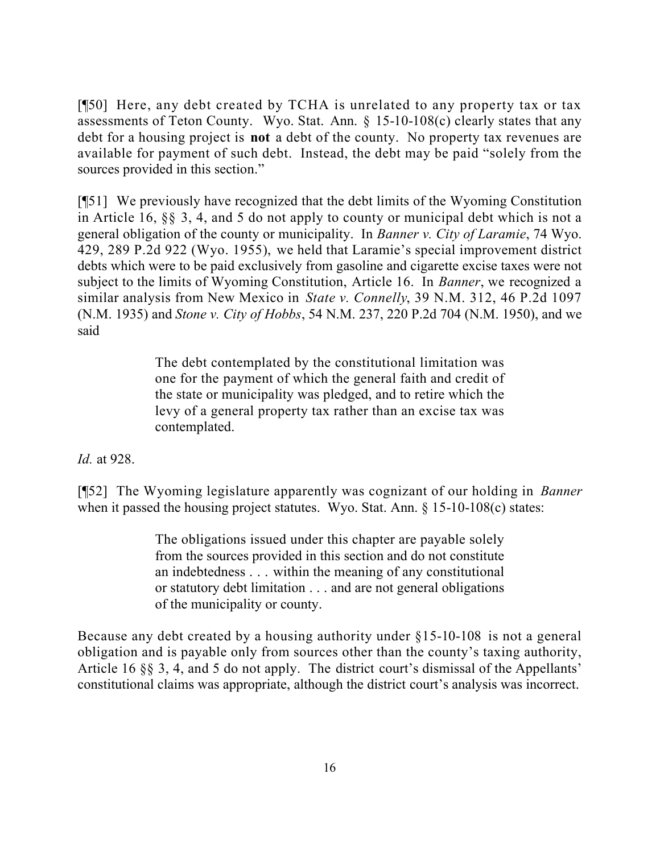[¶50] Here, any debt created by TCHA is unrelated to any property tax or tax assessments of Teton County. Wyo. Stat. Ann. § 15-10-108(c) clearly states that any debt for a housing project is **not** a debt of the county. No property tax revenues are available for payment of such debt. Instead, the debt may be paid "solely from the sources provided in this section."

[¶51] We previously have recognized that the debt limits of the Wyoming Constitution in Article 16, §§ 3, 4, and 5 do not apply to county or municipal debt which is not a general obligation of the county or municipality. In *Banner v. City of Laramie*, 74 Wyo. 429, 289 P.2d 922 (Wyo. 1955), we held that Laramie's special improvement district debts which were to be paid exclusively from gasoline and cigarette excise taxes were not subject to the limits of Wyoming Constitution, Article 16. In *Banner*, we recognized a similar analysis from New Mexico in *State v. Connelly*, 39 N.M. 312, 46 P.2d 1097 (N.M. 1935) and *Stone v. City of Hobbs*, 54 N.M. 237, 220 P.2d 704 (N.M. 1950), and we said

> The debt contemplated by the constitutional limitation was one for the payment of which the general faith and credit of the state or municipality was pledged, and to retire which the levy of a general property tax rather than an excise tax was contemplated.

*Id.* at 928.

[¶52] The Wyoming legislature apparently was cognizant of our holding in *Banner* when it passed the housing project statutes. Wyo. Stat. Ann. § 15-10-108(c) states:

> The obligations issued under this chapter are payable solely from the sources provided in this section and do not constitute an indebtedness . . . within the meaning of any constitutional or statutory debt limitation . . . and are not general obligations of the municipality or county.

Because any debt created by a housing authority under §15-10-108 is not a general obligation and is payable only from sources other than the county's taxing authority, Article 16 §§ 3, 4, and 5 do not apply. The district court's dismissal of the Appellants' constitutional claims was appropriate, although the district court's analysis was incorrect.